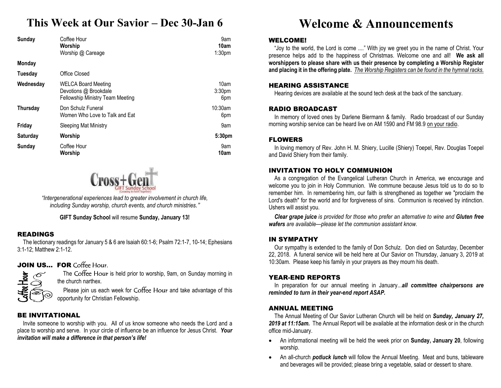# **This Week at Our Savior – Dec 30-Jan 6**

| Sunday          | Coffee Hour<br>Worship<br>Worship @ Careage                                      | 9am<br>10am<br>1:30 <sub>pm</sub> |
|-----------------|----------------------------------------------------------------------------------|-----------------------------------|
| <b>Monday</b>   |                                                                                  |                                   |
| Tuesday         | Office Closed                                                                    |                                   |
| Wednesday       | WELCA Board Meeting<br>Devotions @ Brookdale<br>Fellowship Ministry Team Meeting | 10am<br>3:30pm<br>6pm             |
| <b>Thursday</b> | Don Schulz Funeral<br>Women Who Love to Talk and Eat                             | 10:30am<br>6pm                    |
| Friday          | Sleeping Mat Ministry                                                            | 9am                               |
| Saturday        | Worship                                                                          | 5:30pm                            |
| Sunday          | Coffee Hour<br>Worship                                                           | 9am<br>10am                       |



*"Intergenerational experiences lead to greater involvement in church life, including Sunday worship, church events, and church ministries."*

**GIFT Sunday School** will resume **Sunday, January 13!** 

### READINGS

 The lectionary readings for January 5 & 6 are Isaiah 60:1-6; Psalm 72:1-7, 10-14; Ephesians 3:1-12; Matthew 2:1-12.

# **JOIN US... FOR** Coffee Hour.



The Coffee Hour is held prior to worship, 9am, on Sunday morning in the church narthex.

Please join us each week for Coffee Hour and take advantage of this opportunity for Christian Fellowship.

### BE INVITATIONAL

 Invite someone to worship with you. All of us know someone who needs the Lord and a place to worship and serve. In your circle of influence be an influence for Jesus Christ. *Your invitation will make a difference in that person's life!* 

# **Welcome & Announcements**

### WELCOME!

 "Joy to the world, the Lord is come ...." With joy we greet you in the name of Christ. Your presence helps add to the happiness of Christmas. Welcome one and all! **We ask all worshippers to please share with us their presence by completing a Worship Register and placing it in the offering plate.** *The Worship Registers can be found in the hymnal racks.* 

### HEARING ASSISTANCE

Hearing devices are available at the sound tech desk at the back of the sanctuary.

### RADIO BROADCAST

 In memory of loved ones by Darlene Biermann & family. Radio broadcast of our Sunday morning worship service can be heard live on AM 1590 and FM 98.9 on your radio.

### FLOWERS

In loving memory of Rev. John H. M. Shiery, Lucille (Shiery) Toepel, Rev. Douglas Toepel and David Shiery from their family.

### INVITATION TO HOLY COMMUNION

 As a congregation of the Evangelical Lutheran Church in America, we encourage and welcome you to join in Holy Communion. We commune because Jesus told us to do so to remember him. In remembering him, our faith is strengthened as together we "proclaim the Lord's death" for the world and for forgiveness of sins. Communion is received by intinction. Ushers will assist you.

*Clear grape juice is provided for those who prefer an alternative to wine and Gluten free wafers are available—please let the communion assistant know.* 

### IN SYMPATHY

 Our sympathy is extended to the family of Don Schulz. Don died on Saturday, December 22, 2018. A funeral service will be held here at Our Savior on Thursday, January 3, 2019 at 10:30am. Please keep his family in your prayers as they mourn his death.

### YEAR-END REPORTS

 In preparation for our annual meeting in January...*all committee chairpersons are reminded to turn in their year-end report ASAP.* 

### ANNUAL MEETING

 The Annual Meeting of Our Savior Lutheran Church will be held on *Sunday, January 27, 2019 at 11:15am.* The Annual Report will be available at the information desk or in the church office mid-January.

- An informational meeting will be held the week prior on **Sunday, January 20**, following worship.
- $\bullet$  An all-church *potluck lunch* will follow the Annual Meeting. Meat and buns, tableware and beverages will be provided; please bring a vegetable, salad or dessert to share.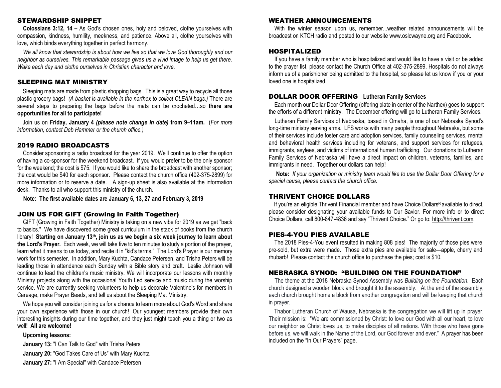### STEWARDSHIP SNIPPET

**Colossians 3:12, 14 –** As God's chosen ones, holy and beloved, clothe yourselves with compassion, kindness, humility, meekness, and patience. Above all, clothe yourselves with love, which binds everything together in perfect harmony.

*We all know that stewardship is about how we live so that we love God thoroughly and our neighbor as ourselves. This remarkable passage gives us a vivid image to help us get there. Wake each day and clothe ourselves in Christian character and love.* 

### SLEEPING MAT MINISTRY

Sleeping mats are made from plastic shopping bags. This is a great way to recycle all those plastic grocery bags! *(A basket is available in the narthex to collect CLEAN bags.)* There are several steps to preparing the bags before the mats can be crocheted…so **there are opportunities for all to participate!** 

Join us on **Friday, January 4** *(please note change in date)* **from 9–11am.** (*For more information, contact Deb Hammer or the church office.)* 

### 2019 RADIO BROADCASTS

 Consider sponsoring a radio broadcast for the year 2019. We'll continue to offer the option of having a co-sponsor for the weekend broadcast. If you would prefer to be the only sponsor for the weekend; the cost is \$75. If you would like to share the broadcast with another sponsor; the cost would be \$40 for each sponsor. Please contact the church office (402-375-2899) for more information or to reserve a date. A sign-up sheet is also available at the information desk. Thanks to all who support this ministry of the church.

**Note: The first available dates are January 6, 13, 27 and February 3, 2019** 

### JOIN US FOR GIFT (Growing in Faith Together)

 GIFT (Growing in Faith Together) Ministry is taking on a new vibe for 2019 as we get "back to basics." We have discovered some great curriculum in the stack of books from the church library! **Starting on January 13th, join us as we begin a six week journey to learn about the Lord's Prayer.** Each week, we will take five to ten minutes to study a portion of the prayer, learn what it means to us today, and recite it in "kid's terms." The Lord's Prayer is our memory work for this semester. In addition, Mary Kuchta, Candace Petersen, and Trisha Peters will be leading those in attendance each Sunday with a Bible story and craft. Leslie Johnson will continue to lead the children's music ministry. We will incorporate our lessons with monthly Ministry projects along with the occasional Youth Led service and music during the worship service. We are currently seeking volunteers to help us decorate Valentine's for members in Careage, make Prayer Beads, and tell us about the Sleeping Mat Ministry.

We hope you will consider joining us for a chance to learn more about God's Word and share your own experience with those in our church! Our youngest members provide their own interesting insights during our time together, and they just might teach you a thing or two as well! **All are welcome!** 

### **Upcoming lessons:**

**January 13:** "I Can Talk to God" with Trisha Peters **January 20:** "God Takes Care of Us" with Mary Kuchta **January 27:** "I Am Special" with Candace Petersen

### WEATHER ANNOUNCEMENTS

With the winter season upon us, remember...weather related announcements will be broadcast on KTCH radio and posted to our website www.oslcwayne.org and Facebook.

### HOSPITALIZED

 If you have a family member who is hospitalized and would like to have a visit or be added to the prayer list, please contact the Church Office at 402-375-2899. Hospitals do not always inform us of a parishioner being admitted to the hospital, so please let us know if you or your loved one is hospitalized.

### DOLLAR DOOR OFFERING—**Lutheran Family Services**

 Each month our Dollar Door Offering (offering plate in center of the Narthex) goes to support the efforts of a different ministry. The December offering will go to Lutheran Family Services.

Lutheran Family Services of Nebraska, based in Omaha, is one of our Nebraska Synod's long-time ministry serving arms. LFS works with many people throughout Nebraska, but some of their services include foster care and adoption services, family counseling services, mental and behavioral health services including for veterans, and support services for refugees, immigrants, asylees, and victims of international human trafficking. Our donations to Lutheran Family Services of Nebraska will have a direct impact on children, veterans, families, and immigrants in need. Together our dollars can help!

**Note:** *If your organization or ministry team would like to use the Dollar Door Offering for a special cause, please contact the church office.* 

### THRIVENT CHOICE DOLLARS

 If you're an eligible Thrivent Financial member and have Choice Dollars® available to direct, please consider designating your available funds to Our Savior. For more info or to direct Choice Dollars, call 800-847-4836 and say "Thrivent Choice." Or go to: http://thrivent.com.

### PIES-4-YOU PIES AVAILABLE

 The 2018 Pies-4-You event resulted in making 808 pies! The majority of those pies were pre-sold, but extra were made. Those extra pies are available for sale—apple, cherry and rhubarb! Please contact the church office to purchase the pies; cost is \$10.

### NEBRASKA SYNOD: "BUILDING ON THE FOUNDATION"

 The theme at the 2018 Nebraska Synod Assembly was *Building on the Foundation*. Each church designed a wooden block and brought it to the assembly. At the end of the assembly, each church brought home a block from another congregation and will be keeping that church in prayer.

Thabor Lutheran Church of Wausa, Nebraska is the congregation we will lift up in prayer. Their mission is: "We are commissioned by Christ: to love our God with all our heart, to love our neighbor as Christ loves us, to make disciples of all nations. With those who have gone before us, we will walk in the Name of the Lord, our God forever and ever." A prayer has been included on the "In Our Prayers" page.